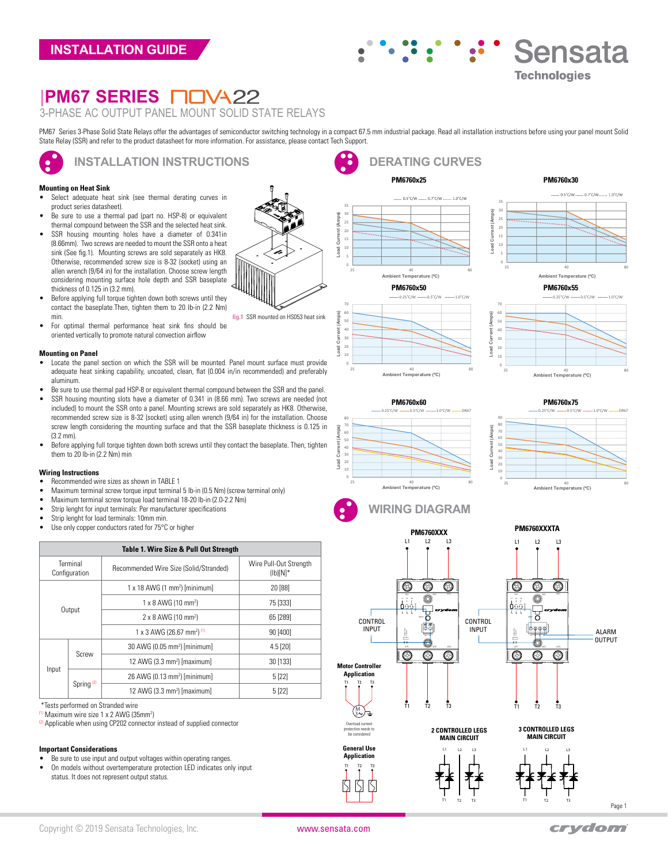# $\ddot{\cdot}$ **Sensata**  $\ddot{\bullet}$ **Technologies**

**PM6760x25 PM6760x30**

**Load Current (Amps)**

Load Current

# **|PM67 SERIES** 3-PHASE AC OUTPUT PANEL MOUNT SOLID STATE RELAYS

PM67 Series 3-Phase Solid State Relays offer the advantages of semiconductor switching technology in a compact 67.5 mm industrial package. Read all installation instructions before using your panel mount Solid State Relay (SSR) and refer to the product datasheet for more information. For assistance, please contact Tech Support.

# **INSTALLATION INSTRUCTIONS**

#### **Mounting on Heat Sink**

 $\bullet$ 

- Select adequate heat sink (see thermal derating curves in product series datasheet).
- Be sure to use a thermal pad (part no. HSP-8) or equivalent thermal compound between the SSR and the selected heat sink.
- SSR housing mounting holes have a diameter of 0.341in (8.66mm). Two screws are needed to mount the SSR onto a heat sink (See fig.1). Mounting screws are sold separately as HK8. Otherwise, recommended screw size is 8-32 (socket) using an allen wrench (9/64 in) for the installation. Choose screw length considering mounting surface hole depth and SSR baseplate thickness of 0.125 in (3.2 mm).
- Before applying full torque tighten down both screws until they contact the baseplate.Then, tighten them to 20 lb-in (2.2 Nm) min.
- For optimal thermal performance heat sink fins should be oriented vertically to promote natural convection airflow

#### **Mounting on Panel**

- Locate the panel section on which the SSR will be mounted. Panel mount surface must provide adequate heat sinking capability, uncoated, clean, flat (0.004 in/in recommended) and preferably aluminum.
- Be sure to use thermal pad HSP-8 or equivalent thermal compound between the SSR and the panel.
- SSR housing mounting slots have a diameter of 0.341 in (8.66 mm). Two screws are needed (not included) to mount the SSR onto a panel. Mounting screws are sold separately as HK8. Otherwise, recommended screw size is 8-32 (socket) using allen wrench (9/64 in) for the installation. Choose screw length considering the mounting surface and that the SSR baseplate thickness is 0.125 in (3.2 mm).
- Before applying full torque tighten down both screws until they contact the baseplate. Then, tighten them to 20 lb-in (2.2 Nm) min

#### **Wiring Instructions**

- Recommended wire sizes as shown in TABLE 1
- Maximum terminal screw torque input terminal 5 lb-in (0.5 Nm) (screw terminal only)
- Maximum terminal screw torque load terminal 18-20 lb-in (2.0-2.2 Nm)
- Strip lenght for input terminals: Per manufacturer specifications
- Strip lenght for load terminals: 10mm min.
- Use only copper conductors rated for 75°C or higher

# **Table 1. Wire Size & Pull Out Stre**

| Table 1. This olec & I all out other gull |                       |                                                  |                                       |  |  |  |  |  |
|-------------------------------------------|-----------------------|--------------------------------------------------|---------------------------------------|--|--|--|--|--|
| Terminal<br>Configuration                 |                       | Recommended Wire Size (Solid/Stranded)           | Wire Pull-Out Strength<br>$(Ib)[N]^*$ |  |  |  |  |  |
| Output                                    |                       | $1 \times 18$ AWG (1 mm <sup>2</sup> ) [minimum] | 20 [88]                               |  |  |  |  |  |
|                                           |                       | 1 x 8 AWG (10 mm <sup>2</sup> )                  | 75 [333]                              |  |  |  |  |  |
|                                           |                       | 2 x 8 AWG (10 mm <sup>2</sup> )                  | 65 [289]                              |  |  |  |  |  |
|                                           |                       | 1 x 3 AWG (26.67 mm <sup>2) (1)</sup>            | 90 [400]                              |  |  |  |  |  |
| Input                                     | Screw                 | 30 AWG (0.05 mm <sup>2</sup> ) [minimum]         | $4.5$ [20]                            |  |  |  |  |  |
|                                           |                       | 12 AWG (3.3 mm <sup>2</sup> ) [maximum]          | 30 [133]                              |  |  |  |  |  |
|                                           | Spring <sup>(2)</sup> | 26 AWG (0.13 mm <sup>2</sup> ) [minimum]         | 5[22]                                 |  |  |  |  |  |
|                                           |                       | 12 AWG (3.3 mm <sup>2</sup> ) [maximum]          | 5[22]                                 |  |  |  |  |  |

\*Tests performed on Stranded wire

<sup>(1)</sup> Maximum wire size 1 x 2 AWG (35mm<sup>2</sup>)

<sup>(2)</sup> Applicable when using CP202 connector instead of supplied connector

#### **Important Considerations**

- Be sure to use input and output voltages within operating ranges.
- On models without overtemperature protection LED indicates only input status. It does not represent output status.





10 20 30

Load Cu

**Load Current (Amps)**

oad



25 40 80 **Ambient Temperature (ºC)**

nt Tomnorsturo (°C

**DERATING CURVES**

 $-0.5^{\circ}$ C/W  $-0.7^{\circ}$ C/W  $...$ , 1.0°C/W



 $-0.5^{\circ}$ C/W  $-0.7^{\circ}$ C/W  $...$   $1.0^{\circ}$ C/W















**PM6760XXXTA**





T1 T2 T3

 $T<sub>2</sub>$ 

Ŋ  $\overline{S}$  $\mathcal{S}$ 

**General Use Application**

3

Overload cu protection needs to be considered

Page 1

ALARM OUTPUT